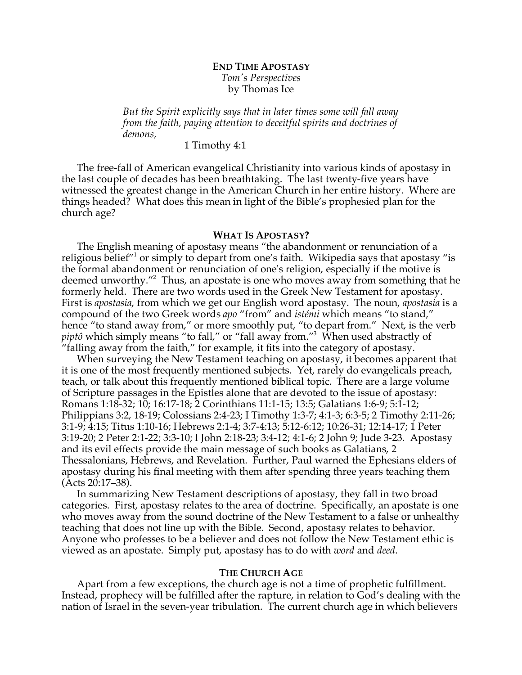# **END TIME APOSTASY** *Tom's Perspectives*

by Thomas Ice

*But the Spirit explicitly says that in later times some will fall away from the faith, paying attention to deceitful spirits and doctrines of demons,*

1 Timothy 4:1

The free-fall of American evangelical Christianity into various kinds of apostasy in the last couple of decades has been breathtaking. The last twenty-five years have witnessed the greatest change in the American Church in her entire history. Where are things headed? What does this mean in light of the Bible's prophesied plan for the church age?

# **WHAT IS APOSTASY?**

The English meaning of apostasy means "the abandonment or renunciation of a religious belief<sup>"1</sup> or simply to depart from one's faith. Wikipedia says that apostasy "is the formal abandonment or renunciation of one's religion, especially if the motive is deemed unworthy."2 Thus, an apostate is one who moves away from something that he formerly held. There are two words used in the Greek New Testament for apostasy. First is *apostasia*, from which we get our English word apostasy. The noun, *apostasia* is a compound of the two Greek words *apo* "from" and *istémi* which means "to stand," hence "to stand away from," or more smoothly put, "to depart from." Next, is the verb piptô which simply means "to fall," or "fall away from."<sup>3</sup> When used abstractly of "falling away from the faith," for example, it fits into the category of apostasy.

When surveying the New Testament teaching on apostasy, it becomes apparent that it is one of the most frequently mentioned subjects. Yet, rarely do evangelicals preach, teach, or talk about this frequently mentioned biblical topic. There are a large volume of Scripture passages in the Epistles alone that are devoted to the issue of apostasy: Romans 1:18-32; 10; 16:17-18; 2 Corinthians 11:1-15; 13:5; Galatians 1:6-9; 5:1-12; Philippians 3:2, 18-19; Colossians 2:4-23; I Timothy 1:3-7; 4:1-3; 6:3-5; 2 Timothy 2:11-26; 3:1-9; 4:15; Titus 1:10-16; Hebrews 2:1-4; 3:7-4:13; 5:12-6:12; 10:26-31; 12:14-17; 1 Peter 3:19-20; 2 Peter 2:1-22; 3:3-10; I John 2:18-23; 3:4-12; 4:1-6; 2 John 9; Jude 3-23. Apostasy and its evil effects provide the main message of such books as Galatians, 2 Thessalonians, Hebrews, and Revelation. Further, Paul warned the Ephesians elders of apostasy during his final meeting with them after spending three years teaching them (Acts 20:17–38).

In summarizing New Testament descriptions of apostasy, they fall in two broad categories. First, apostasy relates to the area of doctrine. Specifically, an apostate is one who moves away from the sound doctrine of the New Testament to a false or unhealthy teaching that does not line up with the Bible. Second, apostasy relates to behavior. Anyone who professes to be a believer and does not follow the New Testament ethic is viewed as an apostate. Simply put, apostasy has to do with *word* and *deed*.

## **THE CHURCH AGE**

Apart from a few exceptions, the church age is not a time of prophetic fulfillment. Instead, prophecy will be fulfilled after the rapture, in relation to God's dealing with the nation of Israel in the seven-year tribulation. The current church age in which believers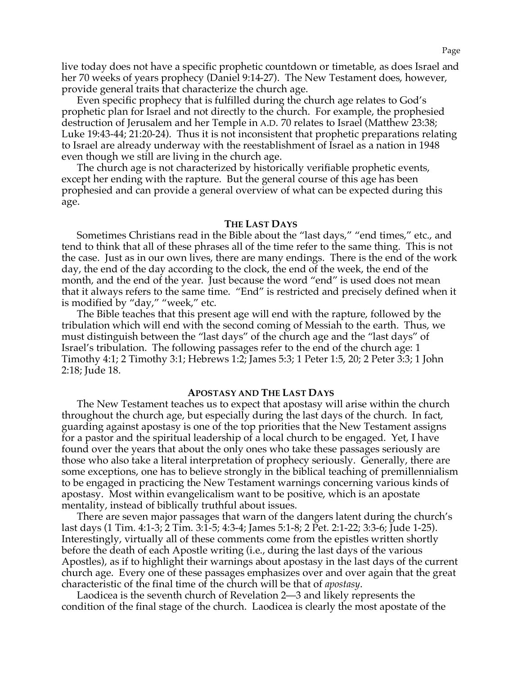live today does not have a specific prophetic countdown or timetable, as does Israel and her 70 weeks of years prophecy (Daniel 9:14-27). The New Testament does, however, provide general traits that characterize the church age.

Even specific prophecy that is fulfilled during the church age relates to God's prophetic plan for Israel and not directly to the church. For example, the prophesied destruction of Jerusalem and her Temple in A.D. 70 relates to Israel (Matthew 23:38; Luke 19:43-44; 21:20-24). Thus it is not inconsistent that prophetic preparations relating to Israel are already underway with the reestablishment of Israel as a nation in 1948 even though we still are living in the church age.

The church age is not characterized by historically verifiable prophetic events, except her ending with the rapture. But the general course of this age has been prophesied and can provide a general overview of what can be expected during this age.

#### **THE LAST DAYS**

Sometimes Christians read in the Bible about the "last days," "end times," etc., and tend to think that all of these phrases all of the time refer to the same thing. This is not the case. Just as in our own lives, there are many endings. There is the end of the work day, the end of the day according to the clock, the end of the week, the end of the month, and the end of the year. Just because the word "end" is used does not mean that it always refers to the same time. "End" is restricted and precisely defined when it is modified by "day," "week," etc.

The Bible teaches that this present age will end with the rapture, followed by the tribulation which will end with the second coming of Messiah to the earth. Thus, we must distinguish between the "last days" of the church age and the "last days" of Israel's tribulation. The following passages refer to the end of the church age: 1 Timothy 4:1; 2 Timothy 3:1; Hebrews 1:2; James 5:3; 1 Peter 1:5, 20; 2 Peter 3:3; 1 John 2:18; Jude 18.

#### **APOSTASY AND THE LAST DAYS**

The New Testament teaches us to expect that apostasy will arise within the church throughout the church age, but especially during the last days of the church. In fact, guarding against apostasy is one of the top priorities that the New Testament assigns for a pastor and the spiritual leadership of a local church to be engaged. Yet, I have found over the years that about the only ones who take these passages seriously are those who also take a literal interpretation of prophecy seriously. Generally, there are some exceptions, one has to believe strongly in the biblical teaching of premillennialism to be engaged in practicing the New Testament warnings concerning various kinds of apostasy. Most within evangelicalism want to be positive, which is an apostate mentality, instead of biblically truthful about issues.

There are seven major passages that warn of the dangers latent during the church's last days (1 Tim. 4:1-3; 2 Tim. 3:1-5; 4:3-4; James 5:1-8; 2 Pet. 2:1-22; 3:3-6; Jude 1-25). Interestingly, virtually all of these comments come from the epistles written shortly before the death of each Apostle writing (i.e., during the last days of the various Apostles), as if to highlight their warnings about apostasy in the last days of the current church age. Every one of these passages emphasizes over and over again that the great characteristic of the final time of the church will be that of *apostasy*.

Laodicea is the seventh church of Revelation 2—3 and likely represents the condition of the final stage of the church. Laodicea is clearly the most apostate of the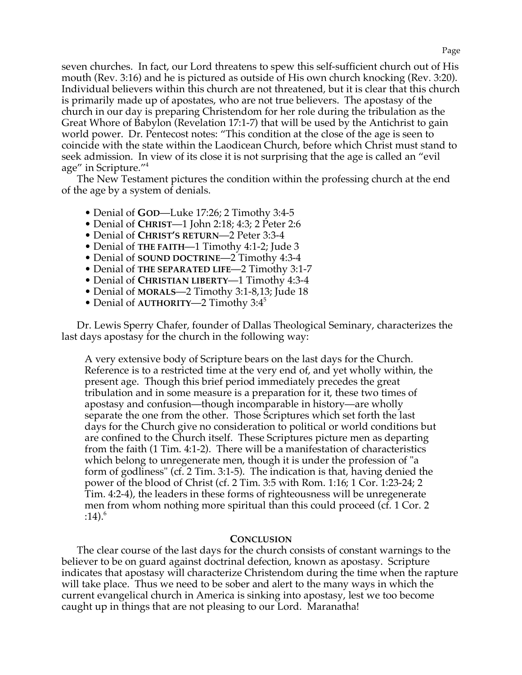seven churches. In fact, our Lord threatens to spew this self-sufficient church out of His mouth (Rev. 3:16) and he is pictured as outside of His own church knocking (Rev. 3:20). Individual believers within this church are not threatened, but it is clear that this church is primarily made up of apostates, who are not true believers. The apostasy of the church in our day is preparing Christendom for her role during the tribulation as the Great Whore of Babylon (Revelation 17:1-7) that will be used by the Antichrist to gain world power. Dr. Pentecost notes: "This condition at the close of the age is seen to coincide with the state within the Laodicean Church, before which Christ must stand to seek admission. In view of its close it is not surprising that the age is called an "evil age" in Scripture."4

The New Testament pictures the condition within the professing church at the end of the age by a system of denials.

- Denial of **GOD**—Luke 17:26; 2 Timothy 3:4-5
- Denial of **CHRIST**—1 John 2:18; 4:3; 2 Peter 2:6
- Denial of **CHRIST'S RETURN**—2 Peter 3:3-4
- Denial of **THE FAITH**—1 Timothy 4:1-2; Jude 3
- Denial of **SOUND DOCTRINE**—2 Timothy 4:3-4
- Denial of **THE SEPARATED LIFE**—2 Timothy 3:1-7
- Denial of **CHRISTIAN LIBERTY**—1 Timothy 4:3-4
- Denial of **MORALS**—2 Timothy 3:1-8,13; Jude 18
- Denial of AUTHORITY—2 Timothy 3:4<sup>5</sup>

Dr. Lewis Sperry Chafer, founder of Dallas Theological Seminary, characterizes the last days apostasy for the church in the following way:

A very extensive body of Scripture bears on the last days for the Church. Reference is to a restricted time at the very end of, and yet wholly within, the present age. Though this brief period immediately precedes the great tribulation and in some measure is a preparation for it, these two times of apostasy and confusion—though incomparable in history—are wholly separate the one from the other. Those Scriptures which set forth the last days for the Church give no consideration to political or world conditions but are confined to the Church itself. These Scriptures picture men as departing from the faith (1 Tim. 4:1-2). There will be a manifestation of characteristics which belong to unregenerate men, though it is under the profession of "a form of godliness" (cf. 2 Tim. 3:1-5). The indication is that, having denied the power of the blood of Christ (cf. 2 Tim. 3:5 with Rom. 1:16; 1 Cor. 1:23-24; 2 Tim. 4:2-4), the leaders in these forms of righteousness will be unregenerate men from whom nothing more spiritual than this could proceed (cf. 1 Cor. 2  $:14).<sup>6</sup>$ 

## **CONCLUSION**

The clear course of the last days for the church consists of constant warnings to the believer to be on guard against doctrinal defection, known as apostasy. Scripture indicates that apostasy will characterize Christendom during the time when the rapture will take place. Thus we need to be sober and alert to the many ways in which the current evangelical church in America is sinking into apostasy, lest we too become caught up in things that are not pleasing to our Lord. Maranatha!